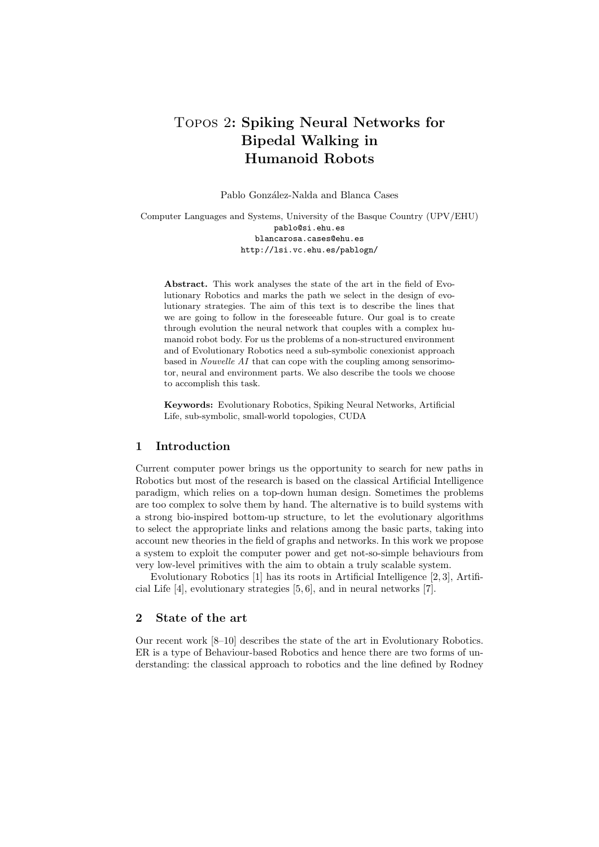# Topos 2: Spiking Neural Networks for Bipedal Walking in Humanoid Robots

Pablo González-Nalda and Blanca Cases

Computer Languages and Systems, University of the Basque Country (UPV/EHU) pablo@si.ehu.es blancarosa.cases@ehu.es http://lsi.vc.ehu.es/pablogn/

Abstract. This work analyses the state of the art in the field of Evolutionary Robotics and marks the path we select in the design of evolutionary strategies. The aim of this text is to describe the lines that we are going to follow in the foreseeable future. Our goal is to create through evolution the neural network that couples with a complex humanoid robot body. For us the problems of a non-structured environment and of Evolutionary Robotics need a sub-symbolic conexionist approach based in Nouvelle AI that can cope with the coupling among sensorimotor, neural and environment parts. We also describe the tools we choose to accomplish this task.

Keywords: Evolutionary Robotics, Spiking Neural Networks, Artificial Life, sub-symbolic, small-world topologies, CUDA

## 1 Introduction

Current computer power brings us the opportunity to search for new paths in Robotics but most of the research is based on the classical Artificial Intelligence paradigm, which relies on a top-down human design. Sometimes the problems are too complex to solve them by hand. The alternative is to build systems with a strong bio-inspired bottom-up structure, to let the evolutionary algorithms to select the appropriate links and relations among the basic parts, taking into account new theories in the field of graphs and networks. In this work we propose a system to exploit the computer power and get not-so-simple behaviours from very low-level primitives with the aim to obtain a truly scalable system.

Evolutionary Robotics [1] has its roots in Artificial Intelligence [2, 3], Artificial Life [4], evolutionary strategies [5, 6], and in neural networks [7].

#### 2 State of the art

Our recent work [8–10] describes the state of the art in Evolutionary Robotics. ER is a type of Behaviour-based Robotics and hence there are two forms of understanding: the classical approach to robotics and the line defined by Rodney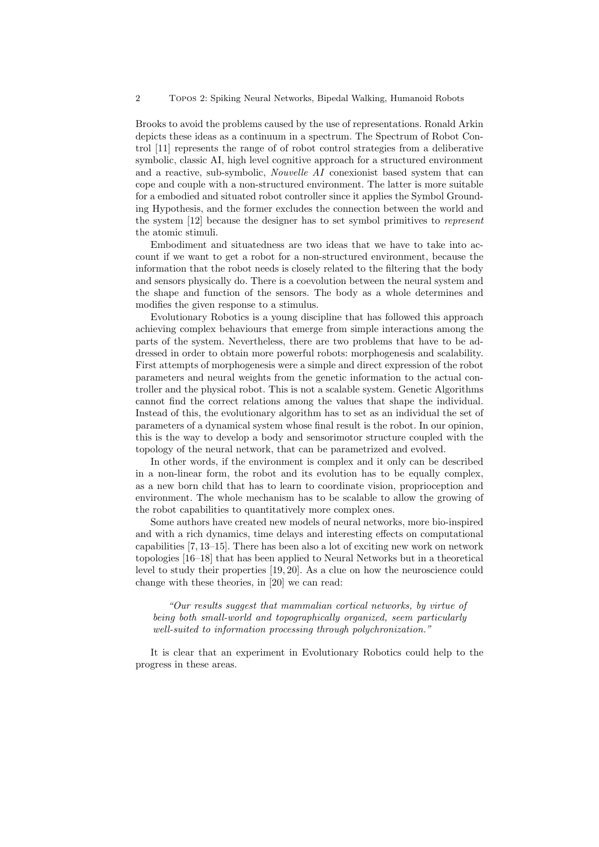Brooks to avoid the problems caused by the use of representations. Ronald Arkin depicts these ideas as a continuum in a spectrum. The Spectrum of Robot Control [11] represents the range of of robot control strategies from a deliberative symbolic, classic AI, high level cognitive approach for a structured environment and a reactive, sub-symbolic, Nouvelle AI conexionist based system that can cope and couple with a non-structured environment. The latter is more suitable for a embodied and situated robot controller since it applies the Symbol Grounding Hypothesis, and the former excludes the connection between the world and the system [12] because the designer has to set symbol primitives to represent the atomic stimuli.

Embodiment and situatedness are two ideas that we have to take into account if we want to get a robot for a non-structured environment, because the information that the robot needs is closely related to the filtering that the body and sensors physically do. There is a coevolution between the neural system and the shape and function of the sensors. The body as a whole determines and modifies the given response to a stimulus.

Evolutionary Robotics is a young discipline that has followed this approach achieving complex behaviours that emerge from simple interactions among the parts of the system. Nevertheless, there are two problems that have to be addressed in order to obtain more powerful robots: morphogenesis and scalability. First attempts of morphogenesis were a simple and direct expression of the robot parameters and neural weights from the genetic information to the actual controller and the physical robot. This is not a scalable system. Genetic Algorithms cannot find the correct relations among the values that shape the individual. Instead of this, the evolutionary algorithm has to set as an individual the set of parameters of a dynamical system whose final result is the robot. In our opinion, this is the way to develop a body and sensorimotor structure coupled with the topology of the neural network, that can be parametrized and evolved.

In other words, if the environment is complex and it only can be described in a non-linear form, the robot and its evolution has to be equally complex, as a new born child that has to learn to coordinate vision, proprioception and environment. The whole mechanism has to be scalable to allow the growing of the robot capabilities to quantitatively more complex ones.

Some authors have created new models of neural networks, more bio-inspired and with a rich dynamics, time delays and interesting effects on computational capabilities [7, 13–15]. There has been also a lot of exciting new work on network topologies [16–18] that has been applied to Neural Networks but in a theoretical level to study their properties [19, 20]. As a clue on how the neuroscience could change with these theories, in [20] we can read:

"Our results suggest that mammalian cortical networks, by virtue of being both small-world and topographically organized, seem particularly well-suited to information processing through polychronization."

It is clear that an experiment in Evolutionary Robotics could help to the progress in these areas.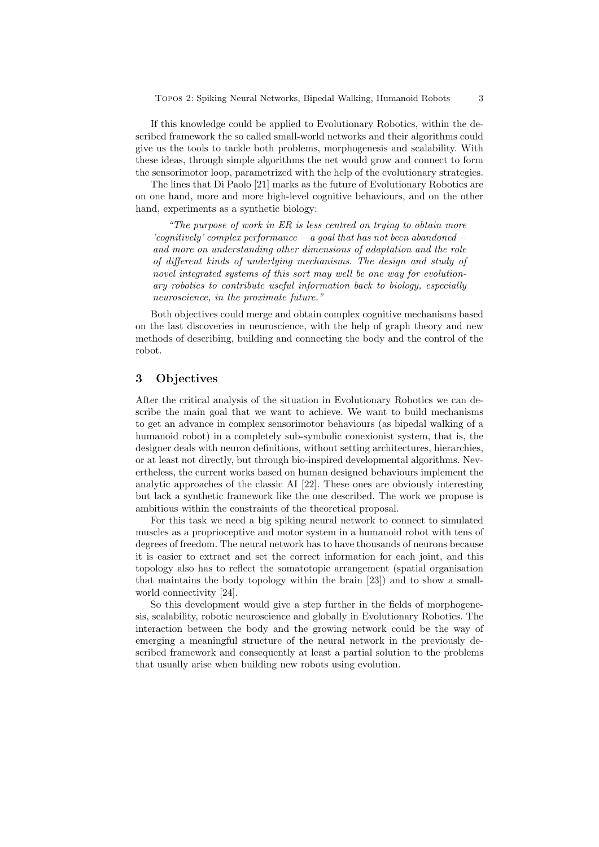If this knowledge could be applied to Evolutionary Robotics, within the described framework the so called small-world networks and their algorithms could give us the tools to tackle both problems, morphogenesis and scalability. With these ideas, through simple algorithms the net would grow and connect to form the sensorimotor loop, parametrized with the help of the evolutionary strategies.

The lines that Di Paolo [21] marks as the future of Evolutionary Robotics are on one hand, more and more high-level cognitive behaviours, and on the other hand, experiments as a synthetic biology:

"The purpose of work in ER is less centred on trying to obtain more  $\alpha$ 'cognitively' complex performance —a goal that has not been abandonedand more on understanding other dimensions of adaptation and the role of different kinds of underlying mechanisms. The design and study of novel integrated systems of this sort may well be one way for evolutionary robotics to contribute useful information back to biology, especially neuroscience, in the proximate future."

Both objectives could merge and obtain complex cognitive mechanisms based on the last discoveries in neuroscience, with the help of graph theory and new methods of describing, building and connecting the body and the control of the robot.

## 3 Objectives

After the critical analysis of the situation in Evolutionary Robotics we can describe the main goal that we want to achieve. We want to build mechanisms to get an advance in complex sensorimotor behaviours (as bipedal walking of a humanoid robot) in a completely sub-symbolic conexionist system, that is, the designer deals with neuron definitions, without setting architectures, hierarchies, or at least not directly, but through bio-inspired developmental algorithms. Nevertheless, the current works based on human designed behaviours implement the analytic approaches of the classic AI [22]. These ones are obviously interesting but lack a synthetic framework like the one described. The work we propose is ambitious within the constraints of the theoretical proposal.

For this task we need a big spiking neural network to connect to simulated muscles as a proprioceptive and motor system in a humanoid robot with tens of degrees of freedom. The neural network has to have thousands of neurons because it is easier to extract and set the correct information for each joint, and this topology also has to reflect the somatotopic arrangement (spatial organisation that maintains the body topology within the brain [23]) and to show a smallworld connectivity [24].

So this development would give a step further in the fields of morphogenesis, scalability, robotic neuroscience and globally in Evolutionary Robotics. The interaction between the body and the growing network could be the way of emerging a meaningful structure of the neural network in the previously described framework and consequently at least a partial solution to the problems that usually arise when building new robots using evolution.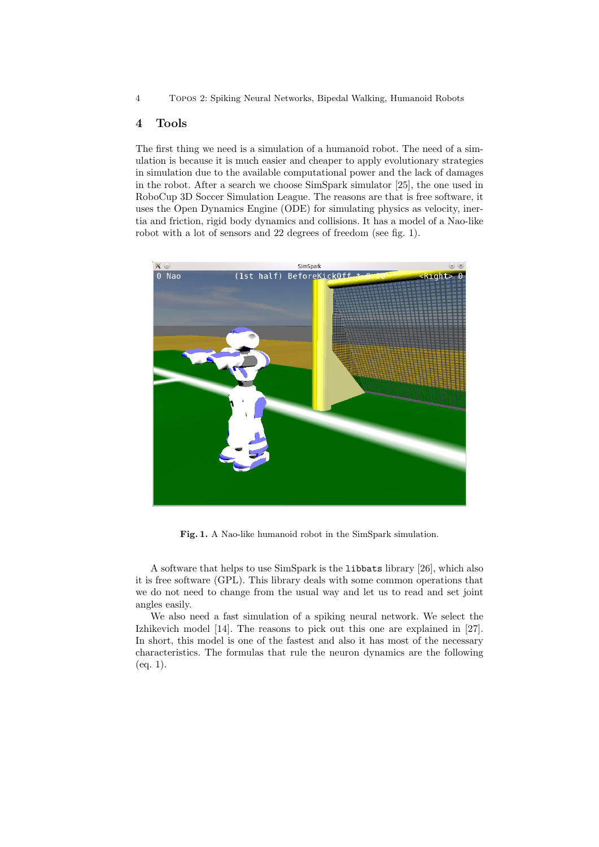4 Topos 2: Spiking Neural Networks, Bipedal Walking, Humanoid Robots

#### 4 Tools

The first thing we need is a simulation of a humanoid robot. The need of a simulation is because it is much easier and cheaper to apply evolutionary strategies in simulation due to the available computational power and the lack of damages in the robot. After a search we choose SimSpark simulator [25], the one used in RoboCup 3D Soccer Simulation League. The reasons are that is free software, it uses the Open Dynamics Engine (ODE) for simulating physics as velocity, inertia and friction, rigid body dynamics and collisions. It has a model of a Nao-like robot with a lot of sensors and 22 degrees of freedom (see fig. 1).



Fig. 1. A Nao-like humanoid robot in the SimSpark simulation.

A software that helps to use SimSpark is the libbats library [26], which also it is free software (GPL). This library deals with some common operations that we do not need to change from the usual way and let us to read and set joint angles easily.

We also need a fast simulation of a spiking neural network. We select the Izhikevich model [14]. The reasons to pick out this one are explained in [27]. In short, this model is one of the fastest and also it has most of the necessary characteristics. The formulas that rule the neuron dynamics are the following (eq. 1).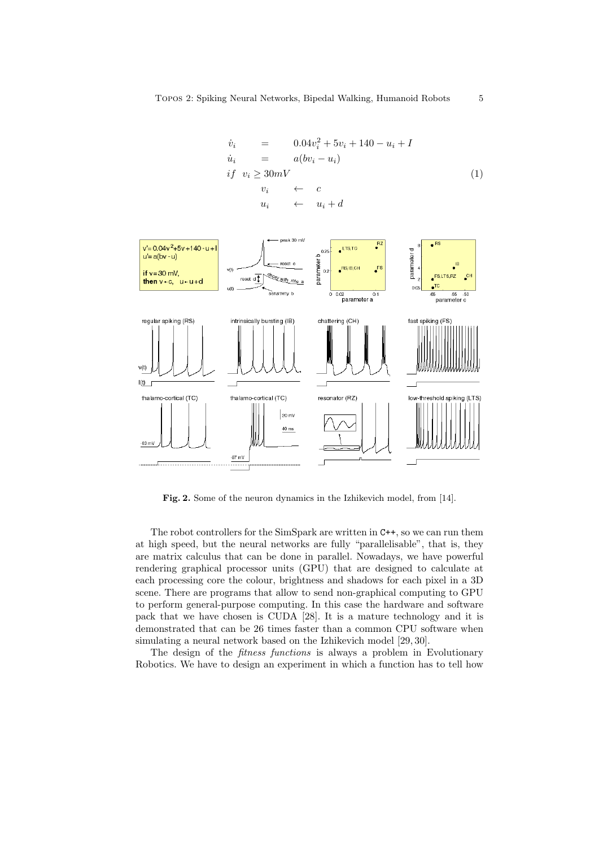$$
\dot{v}_i = 0.04v_i^2 + 5v_i + 140 - u_i + I
$$
\n
$$
\dot{u}_i = a(bv_i - u_i)
$$
\n
$$
if \quad v_i \ge 30mV
$$
\n
$$
v_i \leftarrow c
$$
\n
$$
u_i \leftarrow u_i + d
$$
\n(1)



Fig. 2. Some of the neuron dynamics in the Izhikevich model, from [14].

The robot controllers for the SimSpark are written in C++, so we can run them at high speed, but the neural networks are fully "parallelisable", that is, they are matrix calculus that can be done in parallel. Nowadays, we have powerful rendering graphical processor units (GPU) that are designed to calculate at each processing core the colour, brightness and shadows for each pixel in a 3D scene. There are programs that allow to send non-graphical computing to GPU to perform general-purpose computing. In this case the hardware and software pack that we have chosen is CUDA [28]. It is a mature technology and it is demonstrated that can be 26 times faster than a common CPU software when simulating a neural network based on the Izhikevich model [29, 30].

The design of the fitness functions is always a problem in Evolutionary Robotics. We have to design an experiment in which a function has to tell how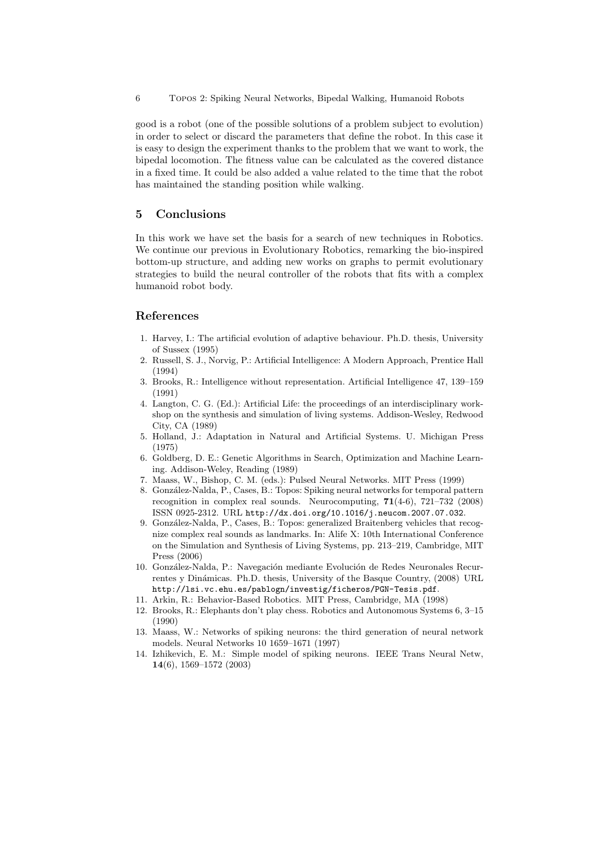good is a robot (one of the possible solutions of a problem subject to evolution) in order to select or discard the parameters that define the robot. In this case it is easy to design the experiment thanks to the problem that we want to work, the bipedal locomotion. The fitness value can be calculated as the covered distance in a fixed time. It could be also added a value related to the time that the robot has maintained the standing position while walking.

## 5 Conclusions

In this work we have set the basis for a search of new techniques in Robotics. We continue our previous in Evolutionary Robotics, remarking the bio-inspired bottom-up structure, and adding new works on graphs to permit evolutionary strategies to build the neural controller of the robots that fits with a complex humanoid robot body.

### References

- 1. Harvey, I.: The artificial evolution of adaptive behaviour. Ph.D. thesis, University of Sussex (1995)
- 2. Russell, S. J., Norvig, P.: Artificial Intelligence: A Modern Approach, Prentice Hall (1994)
- 3. Brooks, R.: Intelligence without representation. Artificial Intelligence 47, 139–159 (1991)
- 4. Langton, C. G. (Ed.): Artificial Life: the proceedings of an interdisciplinary workshop on the synthesis and simulation of living systems. Addison-Wesley, Redwood City, CA (1989)
- 5. Holland, J.: Adaptation in Natural and Artificial Systems. U. Michigan Press (1975)
- 6. Goldberg, D. E.: Genetic Algorithms in Search, Optimization and Machine Learning. Addison-Weley, Reading (1989)
- 7. Maass, W., Bishop, C. M. (eds.): Pulsed Neural Networks. MIT Press (1999)
- 8. Gonz´alez-Nalda, P., Cases, B.: Topos: Spiking neural networks for temporal pattern recognition in complex real sounds. Neurocomputing,  $71(4-6)$ ,  $721-732$  (2008) ISSN 0925-2312. URL http://dx.doi.org/10.1016/j.neucom.2007.07.032.
- 9. Gonz´alez-Nalda, P., Cases, B.: Topos: generalized Braitenberg vehicles that recognize complex real sounds as landmarks. In: Alife X: 10th International Conference on the Simulation and Synthesis of Living Systems, pp. 213–219, Cambridge, MIT Press (2006)
- 10. González-Nalda, P.: Navegación mediante Evolución de Redes Neuronales Recurrentes y Dinámicas. Ph.D. thesis, University of the Basque Country, (2008) URL http://lsi.vc.ehu.es/pablogn/investig/ficheros/PGN-Tesis.pdf.
- 11. Arkin, R.: Behavior-Based Robotics. MIT Press, Cambridge, MA (1998)
- 12. Brooks, R.: Elephants don't play chess. Robotics and Autonomous Systems 6, 3–15 (1990)
- 13. Maass, W.: Networks of spiking neurons: the third generation of neural network models. Neural Networks 10 1659–1671 (1997)
- 14. Izhikevich, E. M.: Simple model of spiking neurons. IEEE Trans Neural Netw, 14(6), 1569–1572 (2003)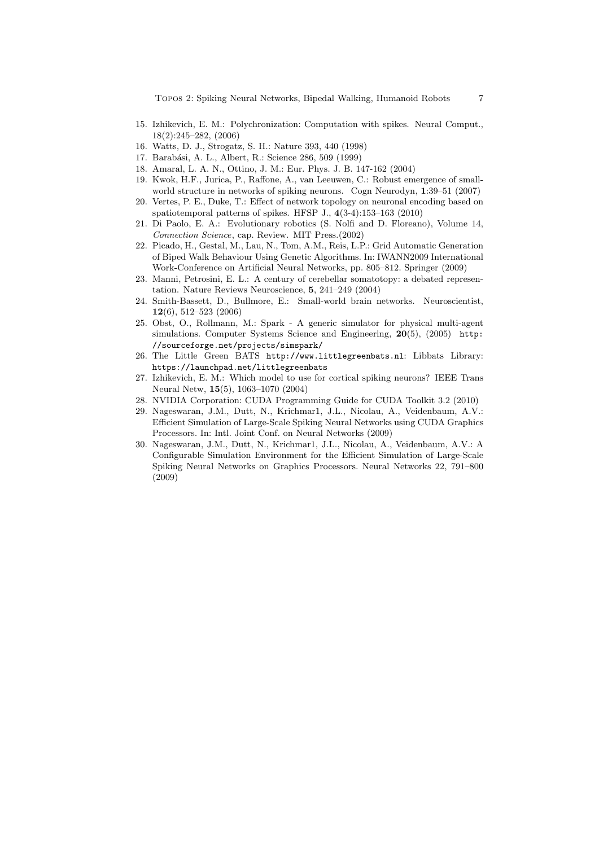Topos 2: Spiking Neural Networks, Bipedal Walking, Humanoid Robots 7

- 15. Izhikevich, E. M.: Polychronization: Computation with spikes. Neural Comput., 18(2):245–282, (2006)
- 16. Watts, D. J., Strogatz, S. H.: Nature 393, 440 (1998)
- 17. Barabási, A. L., Albert, R.: Science 286, 509 (1999)
- 18. Amaral, L. A. N., Ottino, J. M.: Eur. Phys. J. B. 147-162 (2004)
- 19. Kwok, H.F., Jurica, P., Raffone, A., van Leeuwen, C.: Robust emergence of smallworld structure in networks of spiking neurons. Cogn Neurodyn, 1:39–51 (2007)
- 20. Vertes, P. E., Duke, T.: Effect of network topology on neuronal encoding based on spatiotemporal patterns of spikes. HFSP J., 4(3-4):153–163 (2010)
- 21. Di Paolo, E. A.: Evolutionary robotics (S. Nolfi and D. Floreano), Volume 14, Connection Science, cap. Review. MIT Press.(2002)
- 22. Picado, H., Gestal, M., Lau, N., Tom, A.M., Reis, L.P.: Grid Automatic Generation of Biped Walk Behaviour Using Genetic Algorithms. In: IWANN2009 International Work-Conference on Artificial Neural Networks, pp. 805–812. Springer (2009)
- 23. Manni, Petrosini, E. L.: A century of cerebellar somatotopy: a debated representation. Nature Reviews Neuroscience, 5, 241–249 (2004)
- 24. Smith-Bassett, D., Bullmore, E.: Small-world brain networks. Neuroscientist, 12(6), 512–523 (2006)
- 25. Obst, O., Rollmann, M.: Spark A generic simulator for physical multi-agent simulations. Computer Systems Science and Engineering, 20(5), (2005) http: //sourceforge.net/projects/simspark/
- 26. The Little Green BATS http://www.littlegreenbats.nl: Libbats Library: https://launchpad.net/littlegreenbats
- 27. Izhikevich, E. M.: Which model to use for cortical spiking neurons? IEEE Trans Neural Netw, 15(5), 1063–1070 (2004)
- 28. NVIDIA Corporation: CUDA Programming Guide for CUDA Toolkit 3.2 (2010)
- 29. Nageswaran, J.M., Dutt, N., Krichmar1, J.L., Nicolau, A., Veidenbaum, A.V.: Efficient Simulation of Large-Scale Spiking Neural Networks using CUDA Graphics Processors. In: Intl. Joint Conf. on Neural Networks (2009)
- 30. Nageswaran, J.M., Dutt, N., Krichmar1, J.L., Nicolau, A., Veidenbaum, A.V.: A Configurable Simulation Environment for the Efficient Simulation of Large-Scale Spiking Neural Networks on Graphics Processors. Neural Networks 22, 791–800 (2009)